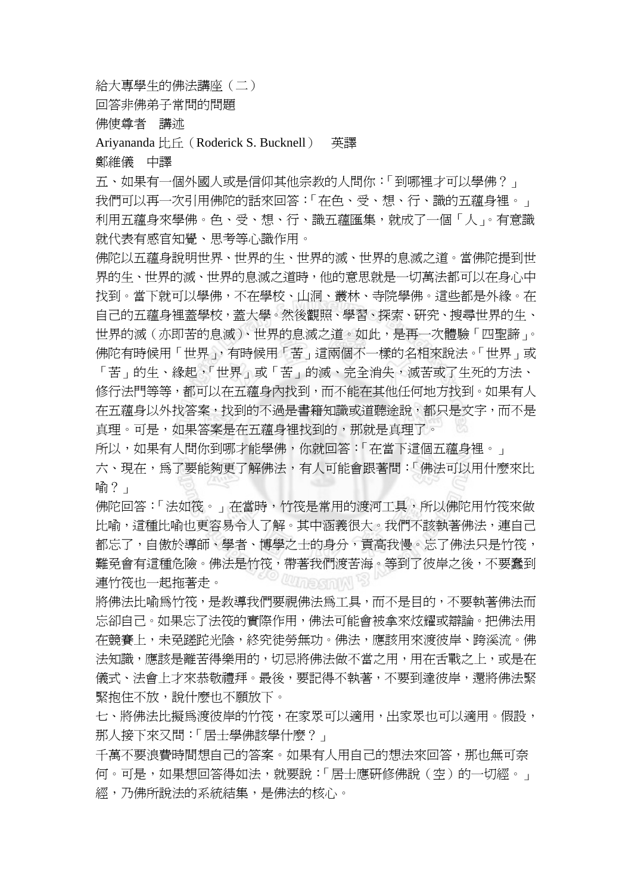給大專學生的佛法講座(二)

回答非佛弟子常問的問題

佛使尊者 講述

Ariyananda 比丘(Roderick S. Bucknell) 英譯

鄭維儀 中譯

五、如果有一個外國人或是信仰其他宗教的人問你:「到哪裡才可以學佛?」 我們可以再一次引用佛陀的話來回答:「在色、受、想、行、識的五蘊身裡。」 利用五蘊身來學佛。色、受、想、行、識五蘊匯集,就成了一個「人」。有意識 就代表有感官知覺、思考等心識作用。

佛陀以五蘊身說明世界、世界的生、世界的滅、世界的息滅之道。當佛陀提到世 界的生、世界的滅、世界的息滅之道時,他的意思就是一切萬法都可以在身心中 找到。當下就可以學佛,不在學校、山洞、叢林、寺院學佛。這些都是外緣。在 自己的五蘊身裡蓋學校,蓋大學。然後觀照、學習、探索、研究、搜尋世界的生、 世界的滅(亦即苦的息滅)、世界的息滅之道。如此,是再一次體驗「四聖諦」。 佛陀有時候用「世界」,有時候用「苦」這兩個不一樣的名相來說法。「世界」或 「苦」的生、緣起,「世界」或「苦」的滅、完全消失,滅苦或了生死的方法、 修行法門等等,都可以在五蘊身內找到,而不能在其他任何地方找到。如果有人 在五蘊身以外找答案,找到的不過是書籍知識或道聽途說,都只是文字,而不是 真理。可是,如果答案是在五蘊身裡找到的,那就是真理了。

所以,如果有人問你到哪才能學佛,你就回答:「在當下這個五蘊身裡。」 六、現在,為了要能夠更了解佛法,有人可能會跟著問:「佛法可以用什麼來比 喻?」

佛陀回答:「法如筏。」在當時,竹筏是常用的渡河工具,所以佛陀用竹筏來做 比喻,這種比喻也更容易令人了解。其中涵義很大。我們不該執著佛法,連自己 都忘了,自傲於導師、學者、博學之士的身分,貢高我慢。忘了佛法只是竹筏, 難免會有這種危險。佛法是竹筏,帶著我們渡苦海。等到了彼岸之後,不要蠢到 *CUMPSINN* 連竹筏也一起拖著走。

將佛法比喻為竹筏,是教導我們要視佛法為工具,而不是目的,不要執著佛法而 忘卻自己。如果忘了法筏的實際作用,佛法可能會被拿來炫耀或辯論。把佛法用 在競賽上,未免蹉跎光陰,終究徒勞無功。佛法,應該用來渡彼岸、跨溪流。佛 法知識,應該是離苦得樂用的,切忌將佛法做不當之用,用在舌戰之上,或是在 儀式、法會上才來恭敬禮拜。最後,要記得不執著,不要到達彼岸,還將佛法緊 緊抱住不放,說什麼也不願放下。

七、將佛法比擬為渡彼岸的竹筏,在家眾可以適用,出家眾也可以適用。假設, 那人接下來又問:「居士學佛該學什麼?」

千萬不要浪費時間想自己的答案。如果有人用自己的想法來回答,那也無可奈 何。可是,如果想回答得如法,就要說:「居士應研修佛說(空)的一切經。」 經,乃佛所說法的系統結集,是佛法的核心。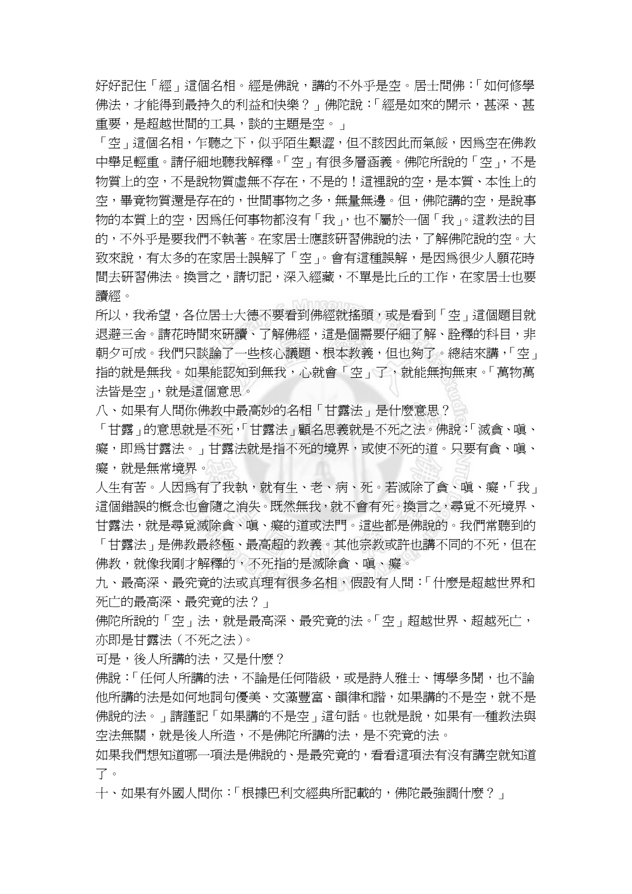好好記住「經」這個名相。經是佛說,講的不外乎是空。居士問佛:「如何修學 佛法,才能得到最持久的利益和快樂?」佛陀說:「經是如來的開示,甚深、甚 重要,是超越世間的工具,談的主題是空。」

「空」這個名相,乍聽之下,似乎陌生艱澀,但不該因此而氣餒,因為空在佛教 中舉足輕重。請仔細地聽我解釋。「空」有很多層涵義。佛陀所說的「空」,不是 物質上的空,不是說物質虛無不存在,不是的!這裡說的空,是本質、本性上的 空,畢竟物質還是存在的,世間事物之多,無量無邊。但,佛陀講的空,是說事 物的本質上的空,因為任何事物都沒有「我」,也不屬於一個「我」。這教法的目 的,不外乎是要我們不執著。在家居士應該研習佛說的法,了解佛陀說的空。大 致來說,有太多的在家居士誤解了「空」。會有這種誤解,是因為很少人願花時 間去研習佛法。換言之,請切記,深入經藏,不單是比丘的工作,在家居士也要 讀經。

所以,我希望,各位居士大德不要看到佛經就搖頭,或是看到「空」這個題目就 退避三舍。請花時間來研讀、了解佛經,這是個需要仔細了解、詮釋的科目,非 朝夕可成。我們只談論了一些核心議題、根本教義,但也夠了。總結來講,「空」 指的就是無我。如果能認知到無我,心就會「空」了,就能無拘無束。「萬物萬 法皆是空」,就是這個意思。

八、如果有人問你佛教中最高妙的名相「甘露法」是什麼意思?

「甘露」的意思就是不死,「甘露法」顧名思義就是不死之法。佛說:「滅貪、嗔、 癖,即為甘露法。」甘露法就是指不死的境界,或使不死的道。只要有貪、嗔、 癡,就是無常境界。

人生有苦。人因爲有了我執,就有生、老、病、死。若滅除了貪、嗔、癡,「我」 這個錯誤的概念也會隨之消失。既然無我,就不會有死。換言之,尋覓不死境界、 甘露法,就是尋覓滅除貪、嗔、癡的道或法門。這些都是佛說的。我們常聽到的 「甘露法」是佛教最終極、最高超的教義。其他宗教或許也講不同的不死,但在 佛教,就像我剛才解釋的,不死指的是滅除貪、嗔、癡。

九、最高深、最究竟的法或真理有很多名相,假設有人問:「什麼是超越世界和 死亡的最高深、最究竟的法?」

佛陀所說的「空」法,就是最高深、最究竟的法。「空」超越世界、超越死亡, 亦即是甘露法(不死之法)。

可是,後人所講的法,又是什麼?

佛說:「任何人所講的法,不論是任何階級,或是詩人雅士、博學多聞,也不論 他所講的法是如何地詞句優美、文藻豐富、韻律和諧,如果講的不是空,就不是 佛說的法。」請謹記「如果講的不是空」這句話。也就是說,如果有一種教法與 空法無關,就是後人所造,不是佛陀所講的法,是不究竟的法。

如果我們想知道哪一項法是佛說的、是最究竟的,看看這項法有沒有講空就知道 了。

十、如果有外國人問你:「根據巴利文經典所記載的,佛陀最強調什麼?」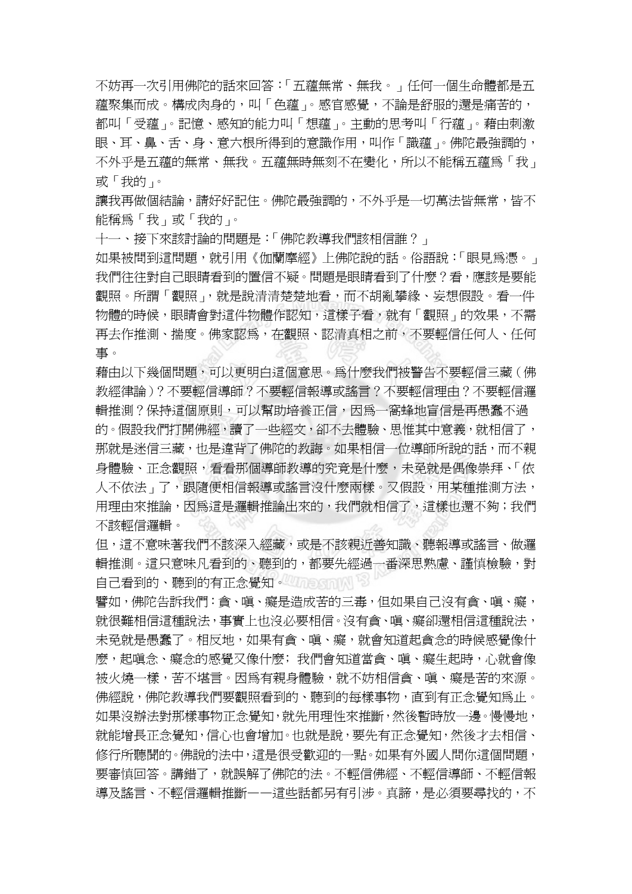不妨再一次引用佛陀的話來回答:「五蘊無常、無我。」任何一個生命體都是五 蘊聚集而成。構成肉身的,叫「色蘊」。感官感覺,不論是舒服的還是痛苦的, 都叫「受蘊」。記憶、感知的能力叫「想蘊」。主動的思考叫「行蘊」。藉由刺激 眼、耳、鼻、舌、身、意六根所得到的意識作用,叫作「識蘊」。佛陀最強調的, 不外乎是五蘊的無常、無我。五蘊無時無刻不在變化,所以不能稱五蘊為「我」 或「我的」。

讓我再做個結論,請好好記住。佛陀最強調的,不外乎是一切萬法皆無常,皆不 能稱為「我」或「我的」。

十一、接下來該討論的問題是:「佛陀教導我們該相信誰?」

如果被問到這問題,就引用《伽蘭摩經》上佛陀說的話。俗語說:「眼見為憑。」 我們往往對自己眼睛看到的置信不疑。問題是眼睛看到了什麼?看,應該是要能 觀照。所謂「觀照」,就是說清清楚楚地看,而不胡亂攀緣、妄想假設。看一件 物體的時候,眼睛會對這件物體作認知,這樣子看,就有「觀照」的效果,不需 再去作推測、揣度。佛家認爲,在觀照、認清真相之前,不要輕信任何人、任何 事。

藉由以下幾個問題,可以更明白這個意思。為什麼我們被警告不要輕信三藏(佛 教經律論)?不要輕信導師?不要輕信報導或謠言?不要輕信理由?不要輕信邏 輯推測?保持這個原則,可以幫助培養正信,因為一窩蜂地盲信是再愚蠢不過 的。假設我們打開佛經,讀了一些經文,卻不去體驗、思惟其中意義,就相信了, 那就是迷信三藏,也是違背了佛陀的教誨。如果相信一位導師所說的話,而不親 身體驗、正念觀照,看看那個導師教導的究竟是什麼,未免就是偶像崇拜、「依 人不依法」了,跟隨便相信報導或謠言沒什麼兩樣。又假設,用某種推測方法, 用理由來推論,因為這是邏輯推論出來的,我們就相信了,這樣也還不夠;我們 不該輕信邏輯。

但,這不意味著我們不該深入經藏,或是不該親近善知識、聽報導或謠言、做邏 輯推測。這只意味凡看到的、聽到的,都要先經過一番深思熟慮、謹慎檢驗,對 自己看到的、聽到的有正念覺知。

譬如,佛陀告訴我們:貪、嗔、癡是造成苦的三毒,但如果自己沒有貪、嗔、癡, 就很難相信這種說法,事實上也沒必要相信。沒有貪、嗔、癡卻還相信這種說法, 未免就是愚蠢了。相反地,如果有貪、嗔、癡,就會知道起貪念的時候感覺像什 麼,起嗔念、癡念的感覺又像什麼;我們會知道當貪、嗔、癡生起時,心就會像 被火燒一樣,苦不堪言。因爲有親身體驗,就不妨相信貪、嗔、癡是苦的來源。 佛經說,佛陀教導我們要觀照看到的、聽到的每樣事物,直到有正念覺知為止。 如果沒辦法對那樣事物正念覺知,就先用理性來推斷,然後暫時放一邊。慢慢地, 就能增長正念覺知,信心也會增加。也就是說,要先有正念覺知,然後才去相信、 修行所聽聞的。佛說的法中,這是很受歡迎的一點。如果有外國人問你這個問題, 要審慎回答。講錯了,就誤解了佛陀的法。不輕信佛經、不輕信導師、不輕信報 導及謠言、不輕信邏輯推斷——這些話都另有引涉。真諦,是必須要尋找的,不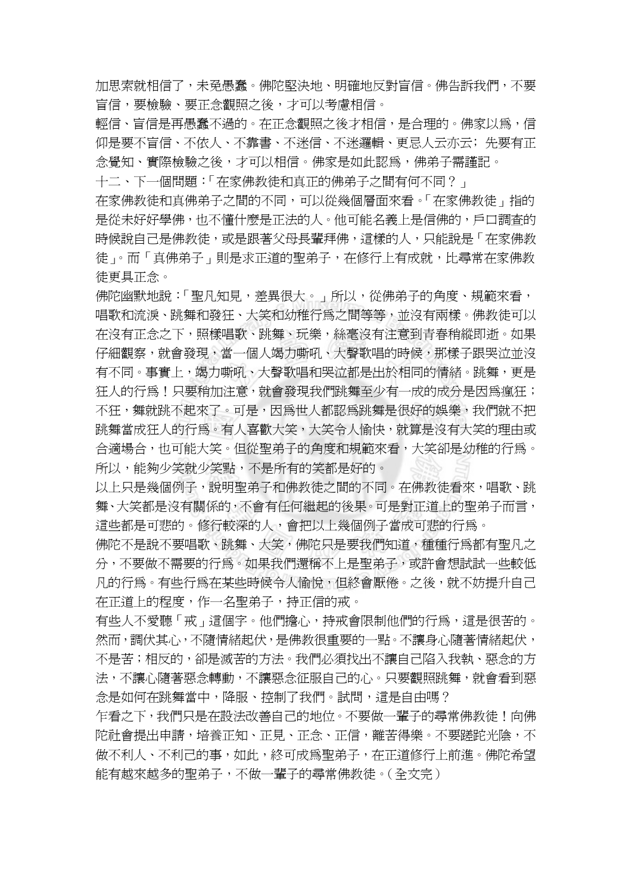加思索就相信了,未免愚蠢。佛陀堅決地、明確地反對盲信。佛告訴我們,不要 盲信,要檢驗、要正念觀照之後,才可以考慮相信。

輕信、盲信是再愚蠢不過的。在正念觀照之後才相信,是合理的。佛家以為,信 仰是要不盲信、不依人、不靠書、不迷信、不迷邏輯、更忌人云亦云;先要有正 念覺知、實際檢驗之後,才可以相信。佛家是如此認為,佛弟子需謹記。

十二、下一個問題:「在家佛教徒和真正的佛弟子之間有何不同?」

在家佛教徒和真佛弟子之間的不同,可以從幾個層面來看。「在家佛教徒」指的 是從未好好學佛,也不懂什麼是正法的人。他可能名義上是信佛的,戶口調杳的 時候說自己是佛教徒,或是跟著父母長輩拜佛,這樣的人,只能說是「在家佛教 徒」。而「真佛弟子」則是求正道的聖弟子,在修行上有成就,比尋常在家佛教 徒更具正念。

佛陀幽默地說:「聖凡知見,差異很大。」所以,從佛弟子的角度、規範來看, 唱歌和流淚、跳舞和發狂、大笑和幼稚行為之間等等,並沒有兩樣。佛教徒可以 在沒有正念之下,照樣唱歌、跳舞、玩樂,絲毫沒有注意到青春稍縱即逝。如果 仔細觀察,就會發現,當一個人竭力嘶吼、大聲歌唱的時候,那樣子跟哭泣並沒 有不同。事實上,竭力嘶吼、大聲歌唱和哭泣都是出於相同的情緒。跳舞,更是 狂人的行為!只要稍加注意,就會發現我們跳舞至少有一成的成分是因為瘋狂; 不狂,舞就跳不起來了。可是,因為世人都認為跳舞是很好的娛樂,我們就不把 跳舞當成狂人的行為。有人喜歡大笑,大笑令人愉快,就算是沒有大笑的理由或 合適場合,也可能大笑。但從聖弟子的角度和規範來看,大笑卻是幼稚的行為。 所以,能夠少笑就少笑點,不是所有的笑都是好的。

以上只是幾個例子,說明聖弟子和佛教徒之間的不同。在佛教徒看來,唱歌、跳 舞、大笑都是沒有關係的,不會有任何繼起的後果。可是對正道上的聖弟子而言, 這些都是可悲的。修行較深的人,會把以上幾個例子當成可悲的行為。

佛陀不是說不要唱歌、跳舞、大笑,佛陀只是要我們知道,種種行為都有聖凡之 分,不要做不需要的行為。如果我們還稱不上是聖弟子,或許會想試試一些較低 凡的行為。有些行為在某些時候令人愉悅,但終會厭倦。之後,就不妨提升自己 在正道上的程度,作一名聖弟子,持正信的戒。

有些人不愛聽「戒」這個字。他們擔心,持戒會限制他們的行為,這是很苦的。 然而,調伏其心,不隨情緒起伏,是佛教很重要的一點。不讓身心隨著情緒起伏, 不是苦;相反的,卻是滅苦的方法。我們必須找出不讓自己陷入我執、惡念的方 法,不讓心隨著惡念轉動,不讓惡念征服自己的心。只要觀照跳舞,就會看到惡 念是如何在跳舞當中,降服、控制了我們。試問,這是自由嗎?

乍看之下,我們只是在設法改善自己的地位。不要做一輩子的尋常佛教徒!向佛 陀社會提出申請,培養正知、正見、正念、正信,離苦得樂。不要蹉跎光陰,不 做不利人、不利己的事,如此,終可成為聖弟子,在正道修行上前進。佛陀希望 能有越來越多的聖弟子,不做一輩子的尋常佛教徒。(全文完)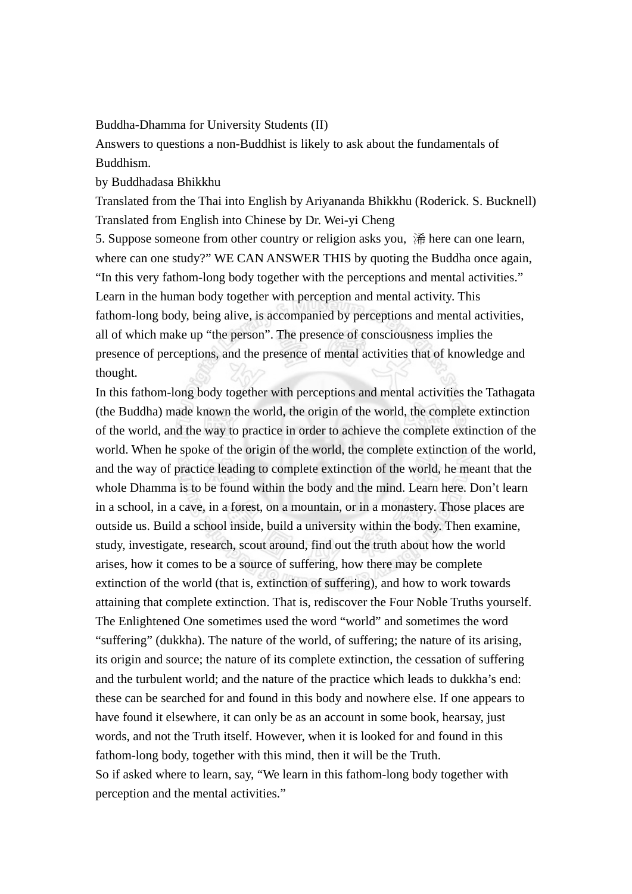Buddha-Dhamma for University Students (II)

Answers to questions a non-Buddhist is likely to ask about the fundamentals of Buddhism.

by Buddhadasa Bhikkhu

Translated from the Thai into English by Ariyananda Bhikkhu (Roderick. S. Bucknell) Translated from English into Chinese by Dr. Wei-yi Cheng

5. Suppose someone from other country or religion asks you, 浠 here can one learn, where can one study?" WE CAN ANSWER THIS by quoting the Buddha once again, "In this very fathom-long body together with the perceptions and mental activities." Learn in the human body together with perception and mental activity. This fathom-long body, being alive, is accompanied by perceptions and mental activities, all of which make up "the person". The presence of consciousness implies the presence of perceptions, and the presence of mental activities that of knowledge and thought.

In this fathom-long body together with perceptions and mental activities the Tathagata (the Buddha) made known the world, the origin of the world, the complete extinction of the world, and the way to practice in order to achieve the complete extinction of the world. When he spoke of the origin of the world, the complete extinction of the world, and the way of practice leading to complete extinction of the world, he meant that the whole Dhamma is to be found within the body and the mind. Learn here. Don't learn in a school, in a cave, in a forest, on a mountain, or in a monastery. Those places are outside us. Build a school inside, build a university within the body. Then examine, study, investigate, research, scout around, find out the truth about how the world arises, how it comes to be a source of suffering, how there may be complete extinction of the world (that is, extinction of suffering), and how to work towards attaining that complete extinction. That is, rediscover the Four Noble Truths yourself. The Enlightened One sometimes used the word "world" and sometimes the word "suffering" (dukkha). The nature of the world, of suffering; the nature of its arising, its origin and source; the nature of its complete extinction, the cessation of suffering and the turbulent world; and the nature of the practice which leads to dukkha's end: these can be searched for and found in this body and nowhere else. If one appears to have found it elsewhere, it can only be as an account in some book, hearsay, just words, and not the Truth itself. However, when it is looked for and found in this fathom-long body, together with this mind, then it will be the Truth. So if asked where to learn, say, "We learn in this fathom-long body together with perception and the mental activities."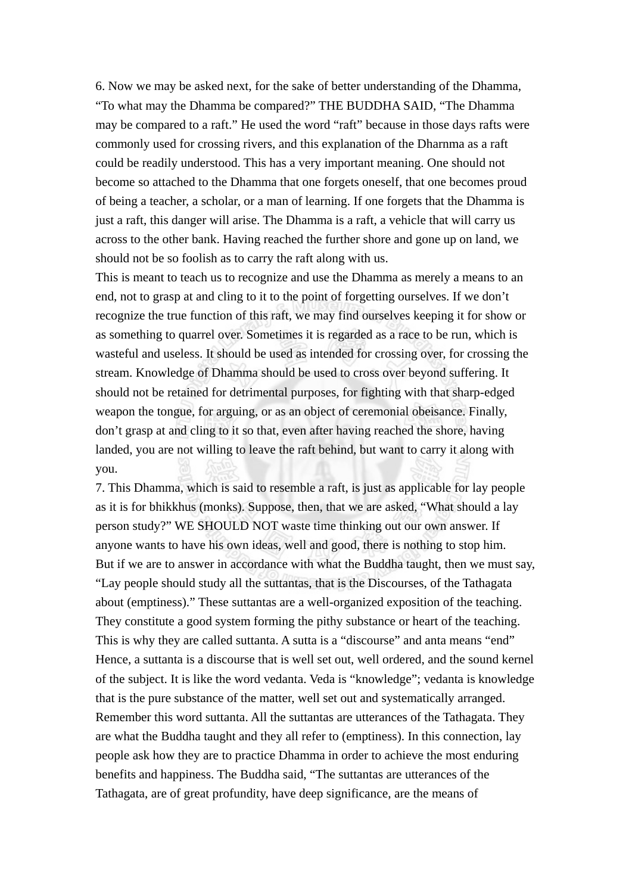6. Now we may be asked next, for the sake of better understanding of the Dhamma, "To what may the Dhamma be compared?" THE BUDDHA SAID, "The Dhamma may be compared to a raft." He used the word "raft" because in those days rafts were commonly used for crossing rivers, and this explanation of the Dharnma as a raft could be readily understood. This has a very important meaning. One should not become so attached to the Dhamma that one forgets oneself, that one becomes proud of being a teacher, a scholar, or a man of learning. If one forgets that the Dhamma is just a raft, this danger will arise. The Dhamma is a raft, a vehicle that will carry us across to the other bank. Having reached the further shore and gone up on land, we should not be so foolish as to carry the raft along with us.

This is meant to teach us to recognize and use the Dhamma as merely a means to an end, not to grasp at and cling to it to the point of forgetting ourselves. If we don't recognize the true function of this raft, we may find ourselves keeping it for show or as something to quarrel over. Sometimes it is regarded as a race to be run, which is wasteful and useless. It should be used as intended for crossing over, for crossing the stream. Knowledge of Dhamma should be used to cross over beyond suffering. It should not be retained for detrimental purposes, for fighting with that sharp-edged weapon the tongue, for arguing, or as an object of ceremonial obeisance. Finally, don't grasp at and cling to it so that, even after having reached the shore, having landed, you are not willing to leave the raft behind, but want to carry it along with you.

7. This Dhamma, which is said to resemble a raft, is just as applicable for lay people as it is for bhikkhus (monks). Suppose, then, that we are asked, "What should a lay person study?" WE SHOULD NOT waste time thinking out our own answer. If anyone wants to have his own ideas, well and good, there is nothing to stop him. But if we are to answer in accordance with what the Buddha taught, then we must say, "Lay people should study all the suttantas, that is the Discourses, of the Tathagata about (emptiness)." These suttantas are a well-organized exposition of the teaching. They constitute a good system forming the pithy substance or heart of the teaching. This is why they are called suttanta. A sutta is a "discourse" and anta means "end" Hence, a suttanta is a discourse that is well set out, well ordered, and the sound kernel of the subject. It is like the word vedanta. Veda is "knowledge"; vedanta is knowledge that is the pure substance of the matter, well set out and systematically arranged. Remember this word suttanta. All the suttantas are utterances of the Tathagata. They are what the Buddha taught and they all refer to (emptiness). In this connection, lay people ask how they are to practice Dhamma in order to achieve the most enduring benefits and happiness. The Buddha said, "The suttantas are utterances of the Tathagata, are of great profundity, have deep significance, are the means of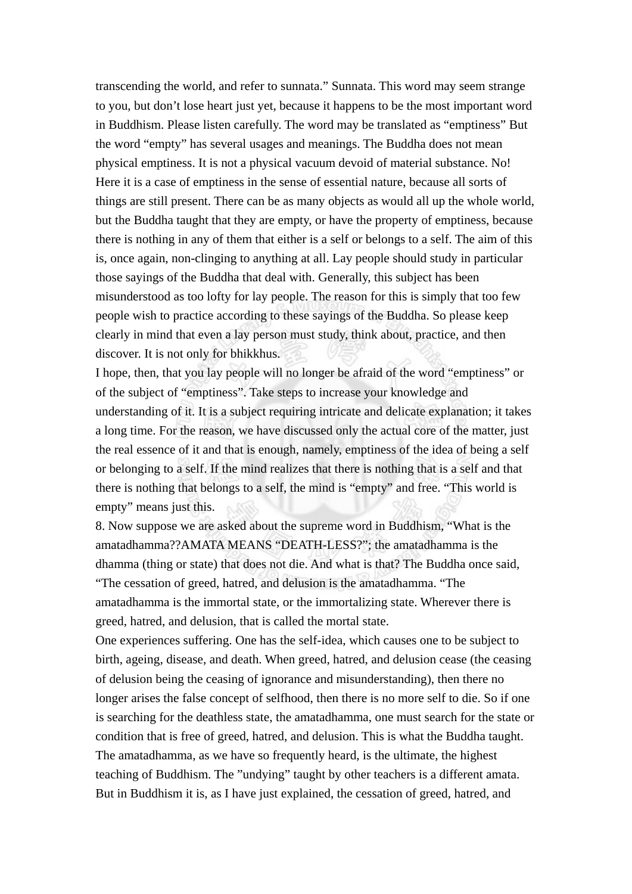transcending the world, and refer to sunnata." Sunnata. This word may seem strange to you, but don't lose heart just yet, because it happens to be the most important word in Buddhism. Please listen carefully. The word may be translated as "emptiness" But the word "empty" has several usages and meanings. The Buddha does not mean physical emptiness. It is not a physical vacuum devoid of material substance. No! Here it is a case of emptiness in the sense of essential nature, because all sorts of things are still present. There can be as many objects as would all up the whole world, but the Buddha taught that they are empty, or have the property of emptiness, because there is nothing in any of them that either is a self or belongs to a self. The aim of this is, once again, non-clinging to anything at all. Lay people should study in particular those sayings of the Buddha that deal with. Generally, this subject has been misunderstood as too lofty for lay people. The reason for this is simply that too few people wish to practice according to these sayings of the Buddha. So please keep clearly in mind that even a lay person must study, think about, practice, and then discover. It is not only for bhikkhus.

I hope, then, that you lay people will no longer be afraid of the word "emptiness" or of the subject of "emptiness". Take steps to increase your knowledge and understanding of it. It is a subject requiring intricate and delicate explanation; it takes a long time. For the reason, we have discussed only the actual core of the matter, just the real essence of it and that is enough, namely, emptiness of the idea of being a self or belonging to a self. If the mind realizes that there is nothing that is a self and that there is nothing that belongs to a self, the mind is "empty" and free. "This world is empty" means just this.

8. Now suppose we are asked about the supreme word in Buddhism, "What is the amatadhamma??AMATA MEANS "DEATH-LESS?"; the amatadhamma is the dhamma (thing or state) that does not die. And what is that? The Buddha once said, "The cessation of greed, hatred, and delusion is the amatadhamma. "The amatadhamma is the immortal state, or the immortalizing state. Wherever there is greed, hatred, and delusion, that is called the mortal state.

One experiences suffering. One has the self-idea, which causes one to be subject to birth, ageing, disease, and death. When greed, hatred, and delusion cease (the ceasing of delusion being the ceasing of ignorance and misunderstanding), then there no longer arises the false concept of selfhood, then there is no more self to die. So if one is searching for the deathless state, the amatadhamma, one must search for the state or condition that is free of greed, hatred, and delusion. This is what the Buddha taught. The amatadhamma, as we have so frequently heard, is the ultimate, the highest teaching of Buddhism. The "undying" taught by other teachers is a different amata. But in Buddhism it is, as I have just explained, the cessation of greed, hatred, and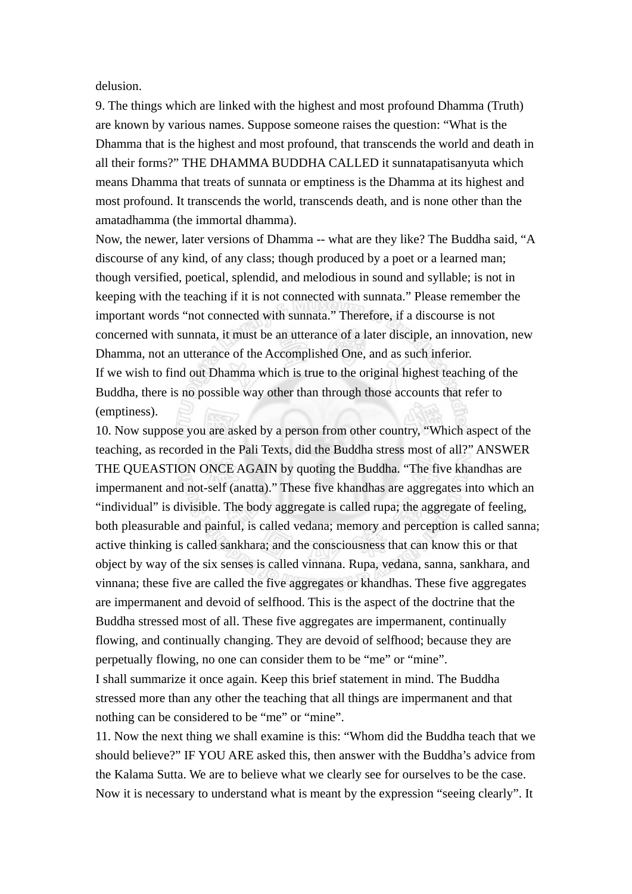delusion.

9. The things which are linked with the highest and most profound Dhamma (Truth) are known by various names. Suppose someone raises the question: "What is the Dhamma that is the highest and most profound, that transcends the world and death in all their forms?" THE DHAMMA BUDDHA CALLED it sunnatapatisanyuta which means Dhamma that treats of sunnata or emptiness is the Dhamma at its highest and most profound. It transcends the world, transcends death, and is none other than the amatadhamma (the immortal dhamma).

Now, the newer, later versions of Dhamma -- what are they like? The Buddha said, "A discourse of any kind, of any class; though produced by a poet or a learned man; though versified, poetical, splendid, and melodious in sound and syllable; is not in keeping with the teaching if it is not connected with sunnata." Please remember the important words "not connected with sunnata." Therefore, if a discourse is not concerned with sunnata, it must be an utterance of a later disciple, an innovation, new Dhamma, not an utterance of the Accomplished One, and as such inferior. If we wish to find out Dhamma which is true to the original highest teaching of the Buddha, there is no possible way other than through those accounts that refer to (emptiness).

10. Now suppose you are asked by a person from other country, "Which aspect of the teaching, as recorded in the Pali Texts, did the Buddha stress most of all?" ANSWER THE QUEASTION ONCE AGAIN by quoting the Buddha. "The five khandhas are impermanent and not-self (anatta)." These five khandhas are aggregates into which an "individual" is divisible. The body aggregate is called rupa; the aggregate of feeling, both pleasurable and painful, is called vedana; memory and perception is called sanna; active thinking is called sankhara; and the consciousness that can know this or that object by way of the six senses is called vinnana. Rupa, vedana, sanna, sankhara, and vinnana; these five are called the five aggregates or khandhas. These five aggregates are impermanent and devoid of selfhood. This is the aspect of the doctrine that the Buddha stressed most of all. These five aggregates are impermanent, continually flowing, and continually changing. They are devoid of selfhood; because they are perpetually flowing, no one can consider them to be "me" or "mine".

I shall summarize it once again. Keep this brief statement in mind. The Buddha stressed more than any other the teaching that all things are impermanent and that nothing can be considered to be "me" or "mine".

11. Now the next thing we shall examine is this: "Whom did the Buddha teach that we should believe?" IF YOU ARE asked this, then answer with the Buddha's advice from the Kalama Sutta. We are to believe what we clearly see for ourselves to be the case. Now it is necessary to understand what is meant by the expression "seeing clearly". It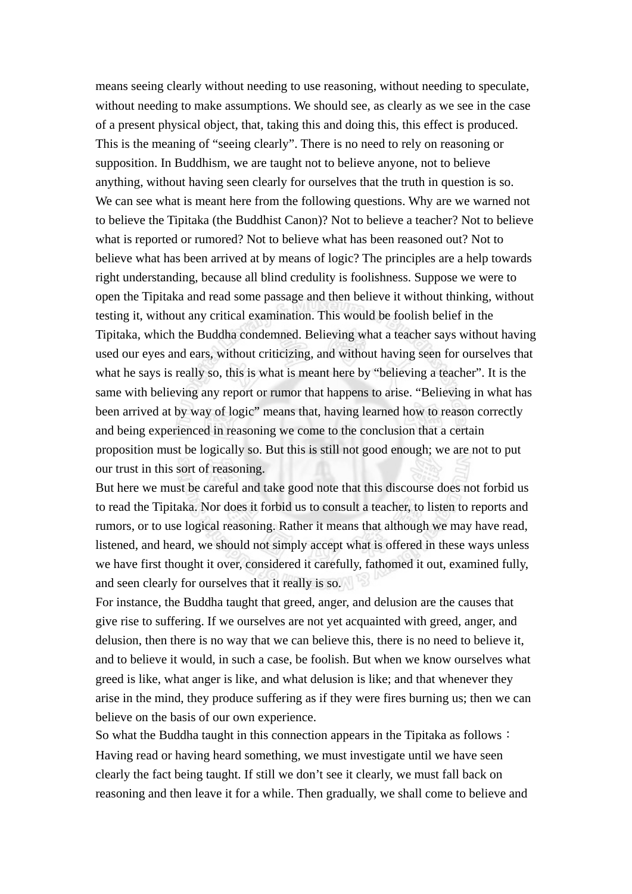means seeing clearly without needing to use reasoning, without needing to speculate, without needing to make assumptions. We should see, as clearly as we see in the case of a present physical object, that, taking this and doing this, this effect is produced. This is the meaning of "seeing clearly". There is no need to rely on reasoning or supposition. In Buddhism, we are taught not to believe anyone, not to believe anything, without having seen clearly for ourselves that the truth in question is so. We can see what is meant here from the following questions. Why are we warned not to believe the Tipitaka (the Buddhist Canon)? Not to believe a teacher? Not to believe what is reported or rumored? Not to believe what has been reasoned out? Not to believe what has been arrived at by means of logic? The principles are a help towards right understanding, because all blind credulity is foolishness. Suppose we were to open the Tipitaka and read some passage and then believe it without thinking, without testing it, without any critical examination. This would be foolish belief in the Tipitaka, which the Buddha condemned. Believing what a teacher says without having used our eyes and ears, without criticizing, and without having seen for ourselves that what he says is really so, this is what is meant here by "believing a teacher". It is the same with believing any report or rumor that happens to arise. "Believing in what has been arrived at by way of logic" means that, having learned how to reason correctly and being experienced in reasoning we come to the conclusion that a certain proposition must be logically so. But this is still not good enough; we are not to put our trust in this sort of reasoning.

But here we must be careful and take good note that this discourse does not forbid us to read the Tipitaka. Nor does it forbid us to consult a teacher, to listen to reports and rumors, or to use logical reasoning. Rather it means that although we may have read, listened, and heard, we should not simply accept what is offered in these ways unless we have first thought it over, considered it carefully, fathomed it out, examined fully, and seen clearly for ourselves that it really is so.

For instance, the Buddha taught that greed, anger, and delusion are the causes that give rise to suffering. If we ourselves are not yet acquainted with greed, anger, and delusion, then there is no way that we can believe this, there is no need to believe it, and to believe it would, in such a case, be foolish. But when we know ourselves what greed is like, what anger is like, and what delusion is like; and that whenever they arise in the mind, they produce suffering as if they were fires burning us; then we can believe on the basis of our own experience.

So what the Buddha taught in this connection appears in the Tipitaka as follows: Having read or having heard something, we must investigate until we have seen clearly the fact being taught. If still we don't see it clearly, we must fall back on reasoning and then leave it for a while. Then gradually, we shall come to believe and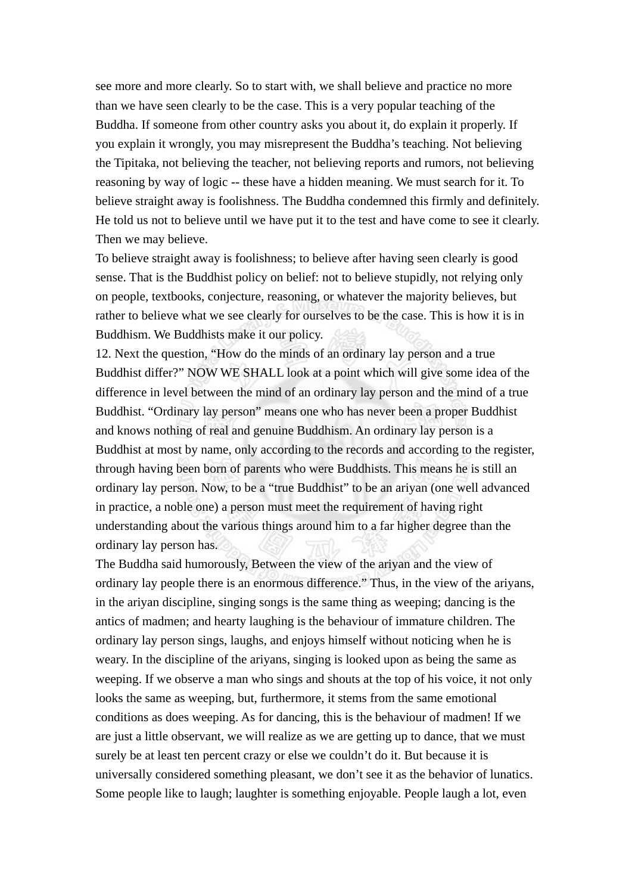see more and more clearly. So to start with, we shall believe and practice no more than we have seen clearly to be the case. This is a very popular teaching of the Buddha. If someone from other country asks you about it, do explain it properly. If you explain it wrongly, you may misrepresent the Buddha's teaching. Not believing the Tipitaka, not believing the teacher, not believing reports and rumors, not believing reasoning by way of logic -- these have a hidden meaning. We must search for it. To believe straight away is foolishness. The Buddha condemned this firmly and definitely. He told us not to believe until we have put it to the test and have come to see it clearly. Then we may believe.

To believe straight away is foolishness; to believe after having seen clearly is good sense. That is the Buddhist policy on belief: not to believe stupidly, not relying only on people, textbooks, conjecture, reasoning, or whatever the majority believes, but rather to believe what we see clearly for ourselves to be the case. This is how it is in Buddhism. We Buddhists make it our policy.

12. Next the question, "How do the minds of an ordinary lay person and a true Buddhist differ?" NOW WE SHALL look at a point which will give some idea of the difference in level between the mind of an ordinary lay person and the mind of a true Buddhist. "Ordinary lay person" means one who has never been a proper Buddhist and knows nothing of real and genuine Buddhism. An ordinary lay person is a Buddhist at most by name, only according to the records and according to the register, through having been born of parents who were Buddhists. This means he is still an ordinary lay person. Now, to be a "true Buddhist" to be an ariyan (one well advanced in practice, a noble one) a person must meet the requirement of having right understanding about the various things around him to a far higher degree than the ordinary lay person has.

The Buddha said humorously, Between the view of the ariyan and the view of ordinary lay people there is an enormous difference." Thus, in the view of the ariyans, in the ariyan discipline, singing songs is the same thing as weeping; dancing is the antics of madmen; and hearty laughing is the behaviour of immature children. The ordinary lay person sings, laughs, and enjoys himself without noticing when he is weary. In the discipline of the ariyans, singing is looked upon as being the same as weeping. If we observe a man who sings and shouts at the top of his voice, it not only looks the same as weeping, but, furthermore, it stems from the same emotional conditions as does weeping. As for dancing, this is the behaviour of madmen! If we are just a little observant, we will realize as we are getting up to dance, that we must surely be at least ten percent crazy or else we couldn't do it. But because it is universally considered something pleasant, we don't see it as the behavior of lunatics. Some people like to laugh; laughter is something enjoyable. People laugh a lot, even